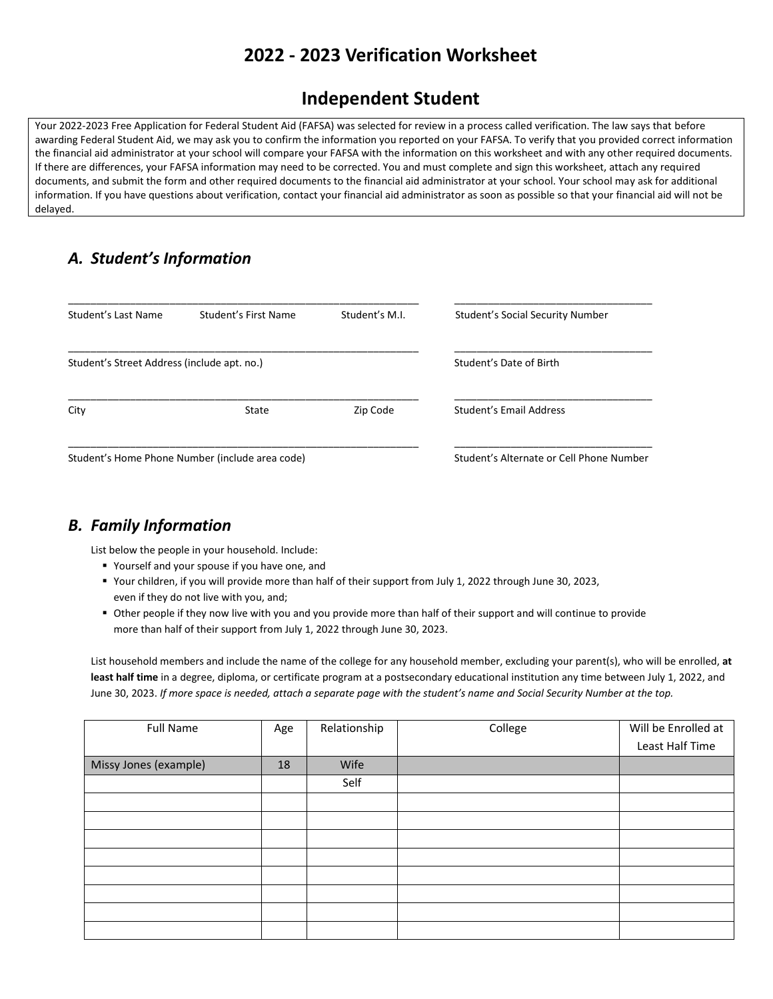# **2022 - 2023 Verification Worksheet**

## **Independent Student**

Your 2022-2023 Free Application for Federal Student Aid (FAFSA) was selected for review in a process called verification. The law says that before awarding Federal Student Aid, we may ask you to confirm the information you reported on your FAFSA. To verify that you provided correct information the financial aid administrator at your school will compare your FAFSA with the information on this worksheet and with any other required documents. If there are differences, your FAFSA information may need to be corrected. You and must complete and sign this worksheet, attach any required documents, and submit the form and other required documents to the financial aid administrator at your school. Your school may ask for additional information. If you have questions about verification, contact your financial aid administrator as soon as possible so that your financial aid will not be delayed.

## *A. Student's Information*

| Student's Last Name                         | Student's First Name                            | Student's M.I.                           | Student's Social Security Number |  |
|---------------------------------------------|-------------------------------------------------|------------------------------------------|----------------------------------|--|
| Student's Street Address (include apt. no.) |                                                 |                                          | Student's Date of Birth          |  |
| City<br>Zip Code<br>State                   |                                                 |                                          | Student's Email Address          |  |
|                                             | Student's Home Phone Number (include area code) | Student's Alternate or Cell Phone Number |                                  |  |

#### *B. Family Information*

List below the people in your household. Include:

- Yourself and your spouse if you have one, and
- Your children, if you will provide more than half of their support from July 1, 2022 through June 30, 2023, even if they do not live with you, and;
- Other people if they now live with you and you provide more than half of their support and will continue to provide more than half of their support from July 1, 2022 through June 30, 2023.

List household members and include the name of the college for any household member, excluding your parent(s), who will be enrolled, **at least half time** in a degree, diploma, or certificate program at a postsecondary educational institution any time between July 1, 2022, and June 30, 2023. *If more space is needed, attach a separate page with the student's name and Social Security Number at the top.*

| <b>Full Name</b>      | Age | Relationship | College | Will be Enrolled at |
|-----------------------|-----|--------------|---------|---------------------|
|                       |     |              |         | Least Half Time     |
| Missy Jones (example) | 18  | Wife         |         |                     |
|                       |     | Self         |         |                     |
|                       |     |              |         |                     |
|                       |     |              |         |                     |
|                       |     |              |         |                     |
|                       |     |              |         |                     |
|                       |     |              |         |                     |
|                       |     |              |         |                     |
|                       |     |              |         |                     |
|                       |     |              |         |                     |